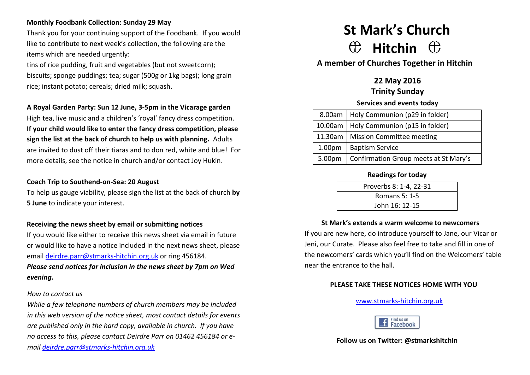# **Monthly Foodbank Collection: Sunday 29 May**

Thank you for your continuing support of the Foodbank. If you would like to contribute to next week's collection, the following are the items which are needed urgently:

tins of rice pudding, fruit and vegetables (but not sweetcorn); biscuits; sponge puddings; tea; sugar (500g or 1kg bags); long grain rice; instant potato; cereals; dried milk; squash.

## **A Royal Garden Party: Sun 12 June, 3-5pm in the Vicarage garden**

High tea, live music and a children's 'royal' fancy dress competition. **If your child would like to enter the fancy dress competition, please sign the list at the back of church to help us with planning.** Adults are invited to dust off their tiaras and to don red, white and blue! For more details, see the notice in church and/or contact Joy Hukin.

#### **Coach Trip to Southend-on-Sea: 20 August**

To help us gauge viability, please sign the list at the back of church **by 5 June** to indicate your interest.

#### **Receiving the news sheet by email or submitting notices**

If you would like either to receive this news sheet via email in future or would like to have a notice included in the next news sheet, please email [deirdre.parr@stmarks-hitchin.org.uk](mailto:deirdre.parr@stmarks-hitchin.org.uk) or ring 456184. *Please send notices for inclusion in the news sheet by 7pm on Wed evening***.**

#### *How to contact us*

*While a few telephone numbers of church members may be included in this web version of the notice sheet, most contact details for events are published only in the hard copy, available in church. If you have no access to this, please contact Deirdre Parr on 01462 456184 or email [deirdre.parr@stmarks-hitchin.org.uk](file:///C:/Users/Andrew/Documents/Church/Communications/Notice%20sheet%20proof%20read/2012/deirdre.parr@stmarks-hitchin.org.uk)*

# **St Mark's Church**  $\oplus$  Hitchin  $\oplus$

**A member of Churches Together in Hitchin**

# **22 May 2016**

**Trinity Sunday**

#### **Services and events today**

|  | 8.00am   Holy Communion (p29 in folder)        |  |
|--|------------------------------------------------|--|
|  | 10.00am   Holy Communion (p15 in folder)       |  |
|  | 11.30am   Mission Committee meeting            |  |
|  | 1.00pm   Baptism Service                       |  |
|  | 5.00pm   Confirmation Group meets at St Mary's |  |

#### **Readings for today**

| Proverbs 8: 1-4, 22-31 |  |
|------------------------|--|
| Romans 5: 1-5          |  |
| John 16: 12-15         |  |

#### **St Mark's extends a warm welcome to newcomers**

If you are new here, do introduce yourself to Jane, our Vicar or Jeni, our Curate. Please also feel free to take and fill in one of the newcomers' cards which you'll find on the Welcomers' table near the entrance to the hall.

#### **PLEASE TAKE THESE NOTICES HOME WITH YOU**

[www.stmarks-hitchin.org.uk](http://www.stmarks-hitchin.org.uk/)



**Follow us on Twitter: @stmarkshitchin**